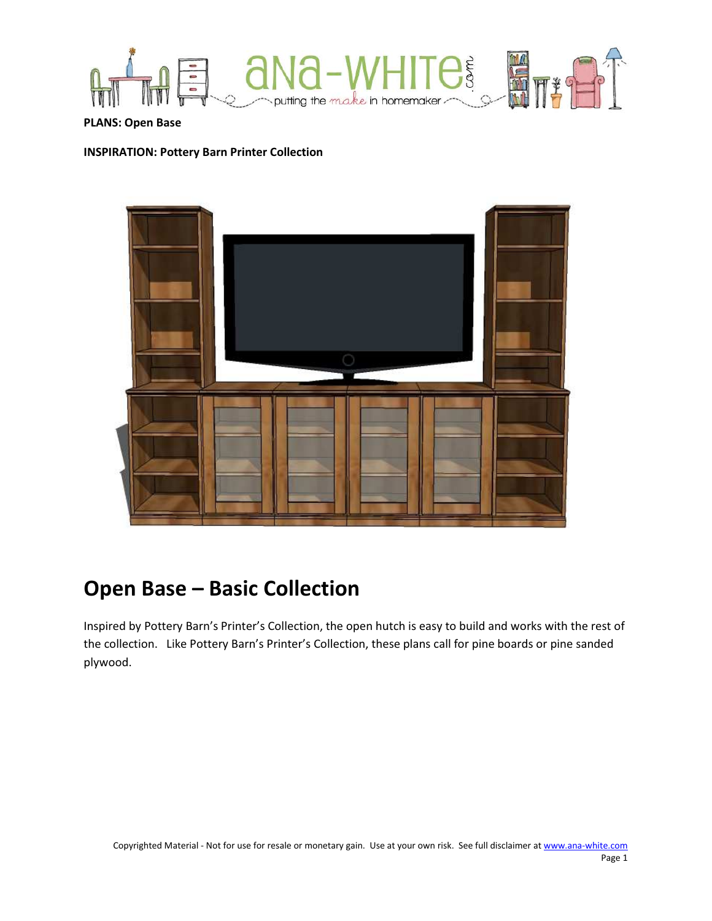

PLANS: Open Base

#### INSPIRATION: Pottery Barn Printer Collection



# Open Base – Basic Collection

Inspired by Pottery Barn's Printer's Collection, the open hutch is easy to build and works with the rest of the collection. Like Pottery Barn's Printer's Collection, these plans call for pine boards or pine sanded plywood.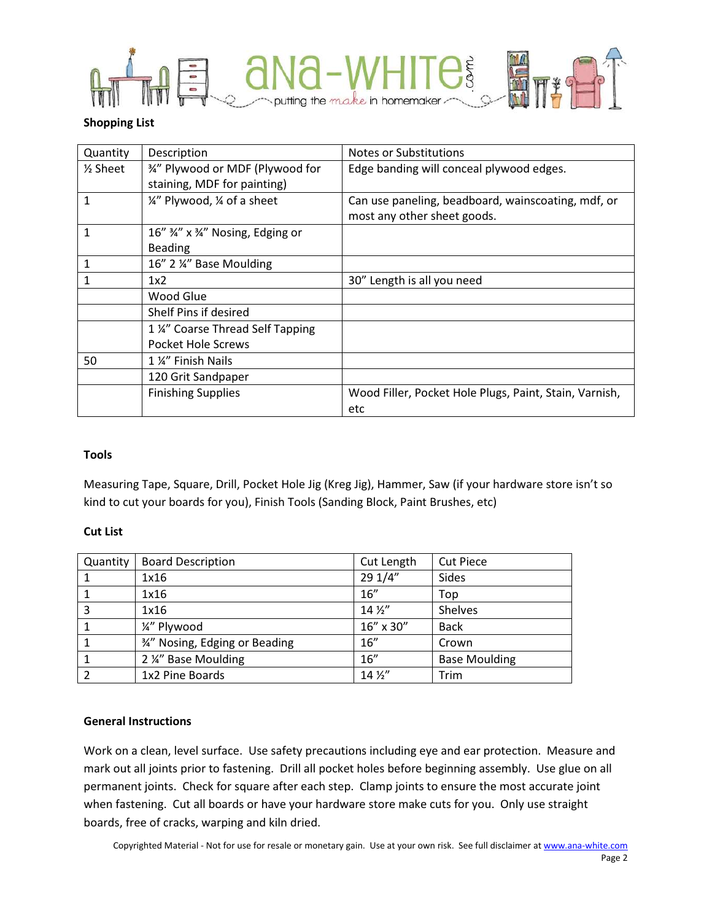

# Shopping List

| Quantity  | Description                      | Notes or Substitutions                                 |  |  |
|-----------|----------------------------------|--------------------------------------------------------|--|--|
| $%$ Sheet | 3/4" Plywood or MDF (Plywood for | Edge banding will conceal plywood edges.               |  |  |
|           | staining, MDF for painting)      |                                                        |  |  |
| 1         | 1/4" Plywood, 1/4 of a sheet     | Can use paneling, beadboard, wainscoating, mdf, or     |  |  |
|           |                                  | most any other sheet goods.                            |  |  |
| 1         | 16" 34" x 34" Nosing, Edging or  |                                                        |  |  |
|           | <b>Beading</b>                   |                                                        |  |  |
|           | 16" 2 ¼" Base Moulding           |                                                        |  |  |
|           | 1x2                              | 30" Length is all you need                             |  |  |
|           | Wood Glue                        |                                                        |  |  |
|           | Shelf Pins if desired            |                                                        |  |  |
|           | 1 %" Coarse Thread Self Tapping  |                                                        |  |  |
|           | Pocket Hole Screws               |                                                        |  |  |
| 50        | 1 %" Finish Nails                |                                                        |  |  |
|           | 120 Grit Sandpaper               |                                                        |  |  |
|           | <b>Finishing Supplies</b>        | Wood Filler, Pocket Hole Plugs, Paint, Stain, Varnish, |  |  |
|           |                                  | etc                                                    |  |  |

# Tools

Measuring Tape, Square, Drill, Pocket Hole Jig (Kreg Jig), Hammer, Saw (if your hardware store isn't so kind to cut your boards for you), Finish Tools (Sanding Block, Paint Brushes, etc)

# Cut List

| Quantity | <b>Board Description</b>       | Cut Length      | <b>Cut Piece</b>     |
|----------|--------------------------------|-----------------|----------------------|
|          | 1x16                           | 29 1/4"         | Sides                |
|          | 1x16                           | 16''            | Top                  |
| 3        | 1x16                           | $14\frac{1}{2}$ | Shelves              |
|          | 1/4" Plywood                   | 16" x 30"       | <b>Back</b>          |
|          | 3⁄4" Nosing, Edging or Beading | 16''            | Crown                |
|          | 2 ¼" Base Moulding             | 16''            | <b>Base Moulding</b> |
|          | 1x2 Pine Boards                | $14\frac{1}{2}$ | Trim                 |

# General Instructions

Work on a clean, level surface. Use safety precautions including eye and ear protection. Measure and mark out all joints prior to fastening. Drill all pocket holes before beginning assembly. Use glue on all permanent joints. Check for square after each step. Clamp joints to ensure the most accurate joint when fastening. Cut all boards or have your hardware store make cuts for you. Only use straight boards, free of cracks, warping and kiln dried.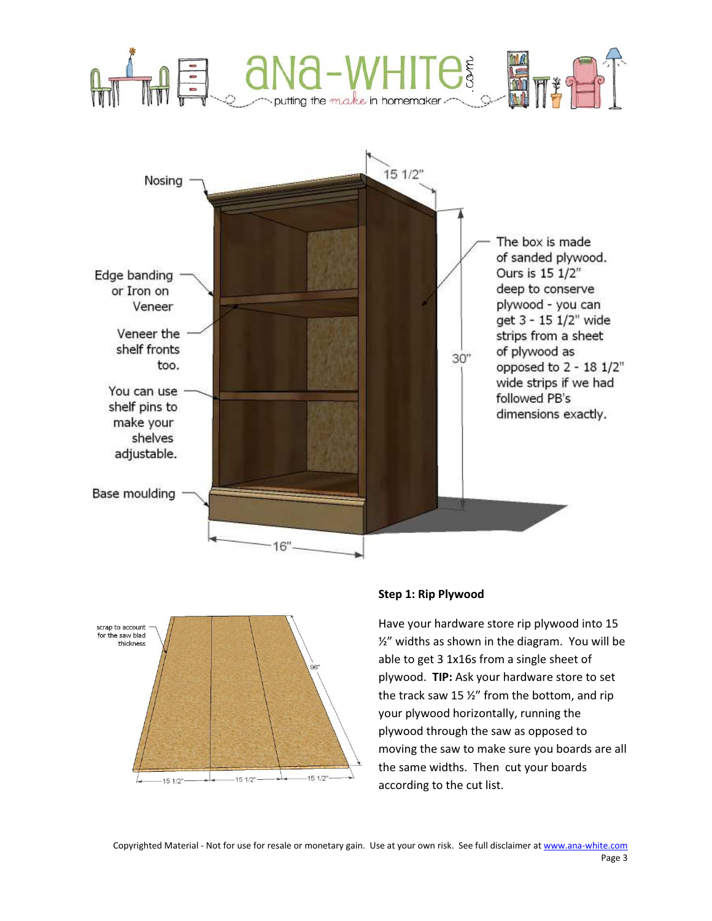



# Step 1: Rip Plywood

Have your hardware store rip plywood into 15 ½" widths as shown in the diagram. You will be able to get 3 1x16s from a single sheet of plywood. TIP: Ask your hardware store to set the track saw 15 ½" from the bottom, and rip your plywood horizontally, running the plywood through the saw as opposed to moving the saw to make sure you boards are all the same widths. Then cut your boards according to the cut list.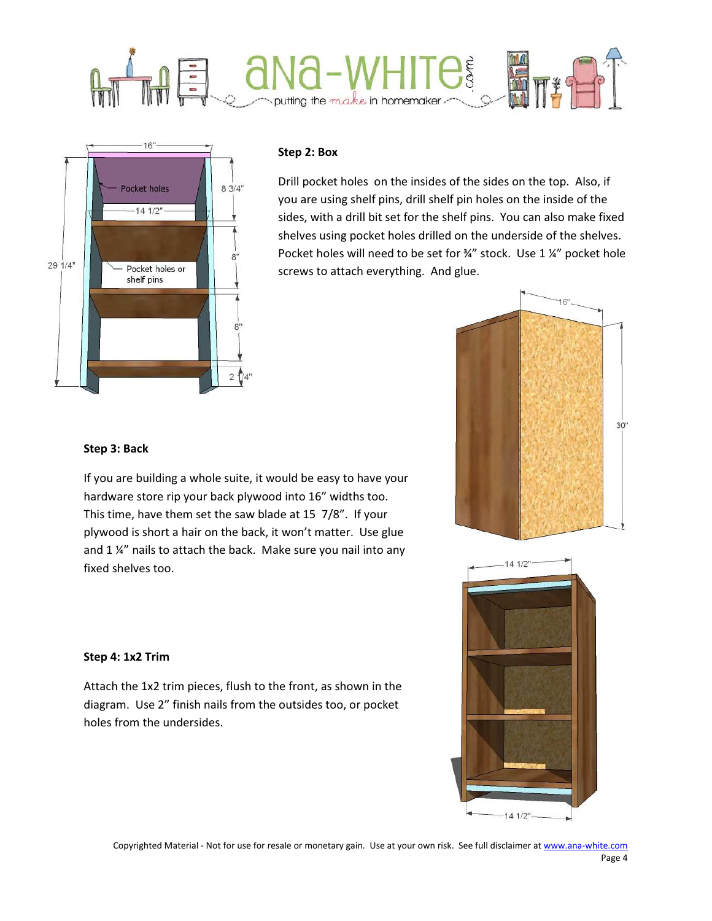



#### Step 2: Box

Drill pocket holes on the insides of the sides on the top. Also, if you are using shelf pins, drill shelf pin holes on the inside of the sides, with a drill bit set for the shelf pins. You can also make fixed shelves using pocket holes drilled on the underside of the shelves. Pocket holes will need to be set for ¾" stock. Use 1 ¼" pocket hole screws to attach everything. And glue.





# Step 3: Back

If you are building a whole suite, it would be easy to have your hardware store rip your back plywood into 16" widths too. This time, have them set the saw blade at 15 7/8". If your plywood is short a hair on the back, it won't matter. Use glue and 1 %" nails to attach the back. Make sure you nail into any fixed shelves too.

#### Step 4: 1x2 Trim

Attach the 1x2 trim pieces, flush to the front, as shown in the diagram. Use 2" finish nails from the outsides too, or pocket holes from the undersides.